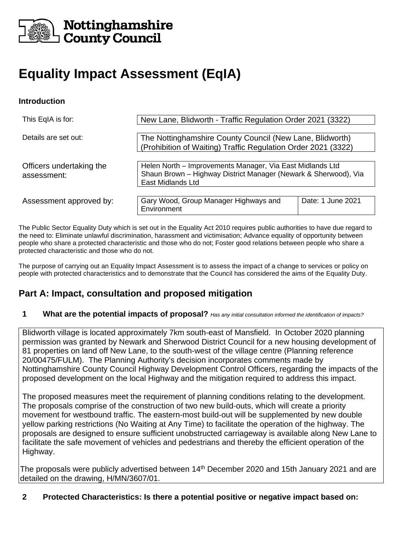

## Nottinghamshire **County Council**

# **Equality Impact Assessment (EqIA)**

#### **Introduction**

| This EqIA is for:                       | New Lane, Blidworth - Traffic Regulation Order 2021 (3322)                                                                                               |                   |  |
|-----------------------------------------|----------------------------------------------------------------------------------------------------------------------------------------------------------|-------------------|--|
| Details are set out:                    | The Nottinghamshire County Council (New Lane, Blidworth)<br>(Prohibition of Waiting) Traffic Regulation Order 2021 (3322)                                |                   |  |
| Officers undertaking the<br>assessment: | Helen North - Improvements Manager, Via East Midlands Ltd<br>Shaun Brown - Highway District Manager (Newark & Sherwood), Via<br><b>East Midlands Ltd</b> |                   |  |
| Assessment approved by:                 | Gary Wood, Group Manager Highways and<br>Environment                                                                                                     | Date: 1 June 2021 |  |

The Public Sector Equality Duty which is set out in the Equality Act 2010 requires public authorities to have due regard to the need to: Eliminate unlawful discrimination, harassment and victimisation; Advance equality of opportunity between people who share a protected characteristic and those who do not; Foster good relations between people who share a protected characteristic and those who do not.

The purpose of carrying out an Equality Impact Assessment is to assess the impact of a change to services or policy on people with protected characteristics and to demonstrate that the Council has considered the aims of the Equality Duty.

## **Part A: Impact, consultation and proposed mitigation**

#### **1 What are the potential impacts of proposal?** *Has any initial consultation informed the identification of impacts?*

Blidworth village is located approximately 7km south-east of Mansfield. In October 2020 planning permission was granted by Newark and Sherwood District Council for a new housing development of 81 properties on land off New Lane, to the south-west of the village centre (Planning reference 20/00475/FULM). The Planning Authority's decision incorporates comments made by Nottinghamshire County Council Highway Development Control Officers, regarding the impacts of the proposed development on the local Highway and the mitigation required to address this impact.

The proposed measures meet the requirement of planning conditions relating to the development. The proposals comprise of the construction of two new build-outs, which will create a priority movement for westbound traffic. The eastern-most build-out will be supplemented by new double yellow parking restrictions (No Waiting at Any Time) to facilitate the operation of the highway. The proposals are designed to ensure sufficient unobstructed carriageway is available along New Lane to facilitate the safe movement of vehicles and pedestrians and thereby the efficient operation of the Highway.

The proposals were publicly advertised between 14<sup>th</sup> December 2020 and 15th January 2021 and are detailed on the drawing, H/MN/3607/01.

#### **2 Protected Characteristics: Is there a potential positive or negative impact based on:**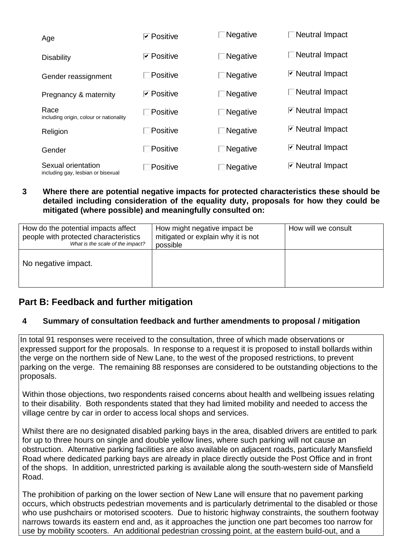| Age                                                      | <b>⊽</b> Positive | ∃Negative       | $\Box$ Neutral Impact                       |
|----------------------------------------------------------|-------------------|-----------------|---------------------------------------------|
| <b>Disability</b>                                        | <b>⊡</b> Positive | $\Box$ Negative | $\Box$ Neutral Impact                       |
| Gender reassignment                                      | $\Box$ Positive   | $\Box$ Negative | $\triangleright$ Neutral Impact             |
| Pregnancy & maternity                                    | <b>⊡</b> Positive | $\Box$ Negative | $\Box$ Neutral Impact                       |
| Race<br>including origin, colour or nationality          | $\Box$ Positive   | $\Box$ Negative | $\triangleright$ Neutral Impact             |
| Religion                                                 | $\Box$ Positive   | <b>Negative</b> | <b>⊡</b> Neutral Impact                     |
| Gender                                                   | $\Box$ Positive   | $\Box$ Negative | ⊡ Neutral Impact                            |
| Sexual orientation<br>including gay. Jeshian or bisexual | $\Box$ Positive   | $\Box$ Negative | <b><math>\boxed{}</math></b> Neutral Impact |

**3 Where there are potential negative impacts for protected characteristics these should be detailed including consideration of the equality duty, proposals for how they could be mitigated (where possible) and meaningfully consulted on:**

| How do the potential impacts affect<br>people with protected characteristics<br>What is the scale of the impact? | How might negative impact be<br>mitigated or explain why it is not<br>possible | How will we consult |
|------------------------------------------------------------------------------------------------------------------|--------------------------------------------------------------------------------|---------------------|
| No negative impact.                                                                                              |                                                                                |                     |

## **Part B: Feedback and further mitigation**

#### **4 Summary of consultation feedback and further amendments to proposal / mitigation**

In total 91 responses were received to the consultation, three of which made observations or expressed support for the proposals. In response to a request it is proposed to install bollards within the verge on the northern side of New Lane, to the west of the proposed restrictions, to prevent parking on the verge. The remaining 88 responses are considered to be outstanding objections to the proposals.

Within those objections, two respondents raised concerns about health and wellbeing issues relating to their disability. Both respondents stated that they had limited mobility and needed to access the village centre by car in order to access local shops and services.

Whilst there are no designated disabled parking bays in the area, disabled drivers are entitled to park for up to three hours on single and double yellow lines, where such parking will not cause an obstruction. Alternative parking facilities are also available on adjacent roads, particularly Mansfield Road where dedicated parking bays are already in place directly outside the Post Office and in front of the shops. In addition, unrestricted parking is available along the south-western side of Mansfield Road.

The prohibition of parking on the lower section of New Lane will ensure that no pavement parking occurs, which obstructs pedestrian movements and is particularly detrimental to the disabled or those who use pushchairs or motorised scooters. Due to historic highway constraints, the southern footway narrows towards its eastern end and, as it approaches the junction one part becomes too narrow for use by mobility scooters. An additional pedestrian crossing point, at the eastern build-out, and a